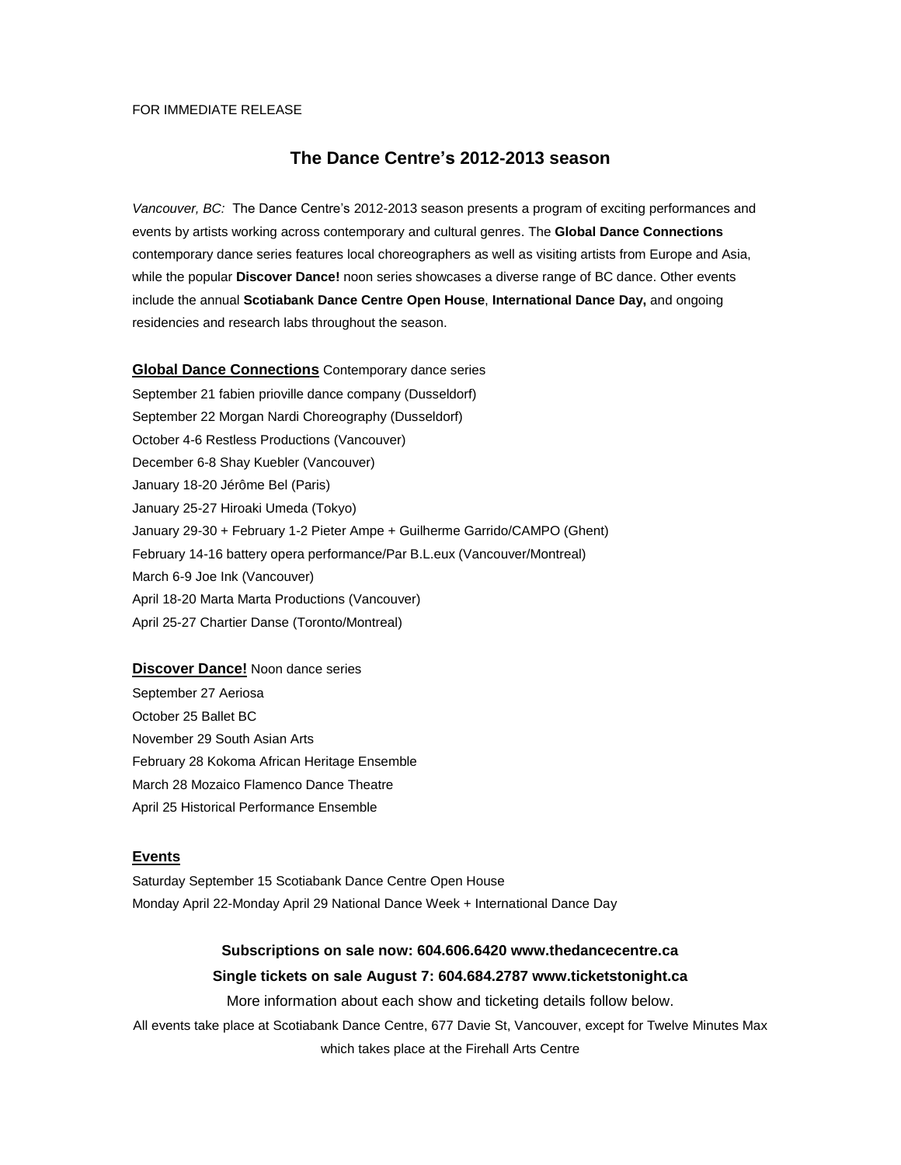### FOR IMMEDIATE RELEASE

# **The Dance Centre's 2012-2013 season**

*Vancouver, BC:* The Dance Centre's 2012-2013 season presents a program of exciting performances and events by artists working across contemporary and cultural genres. The **Global Dance Connections** contemporary dance series features local choreographers as well as visiting artists from Europe and Asia, while the popular **Discover Dance!** noon series showcases a diverse range of BC dance. Other events include the annual **Scotiabank Dance Centre Open House**, **International Dance Day,** and ongoing residencies and research labs throughout the season.

**Global Dance Connections** Contemporary dance series September 21 fabien prioville dance company (Dusseldorf) September 22 Morgan Nardi Choreography (Dusseldorf) October 4-6 Restless Productions (Vancouver) December 6-8 Shay Kuebler (Vancouver) January 18-20 Jérôme Bel (Paris) January 25-27 Hiroaki Umeda (Tokyo) January 29-30 + February 1-2 Pieter Ampe + Guilherme Garrido/CAMPO (Ghent) February 14-16 battery opera performance/Par B.L.eux (Vancouver/Montreal) March 6-9 Joe Ink (Vancouver) April 18-20 Marta Marta Productions (Vancouver) April 25-27 Chartier Danse (Toronto/Montreal)

**Discover Dance!** Noon dance series September 27 Aeriosa October 25 Ballet BC November 29 South Asian Arts February 28 Kokoma African Heritage Ensemble March 28 Mozaico Flamenco Dance Theatre April 25 Historical Performance Ensemble

## **Events**

Saturday September 15 Scotiabank Dance Centre Open House Monday April 22-Monday April 29 National Dance Week + International Dance Day

# **Subscriptions on sale now: 604.606.6420 www.thedancecentre.ca Single tickets on sale August 7: 604.684.2787 www.ticketstonight.ca**

More information about each show and ticketing details follow below.

All events take place at Scotiabank Dance Centre, 677 Davie St, Vancouver, except for Twelve Minutes Max which takes place at the Firehall Arts Centre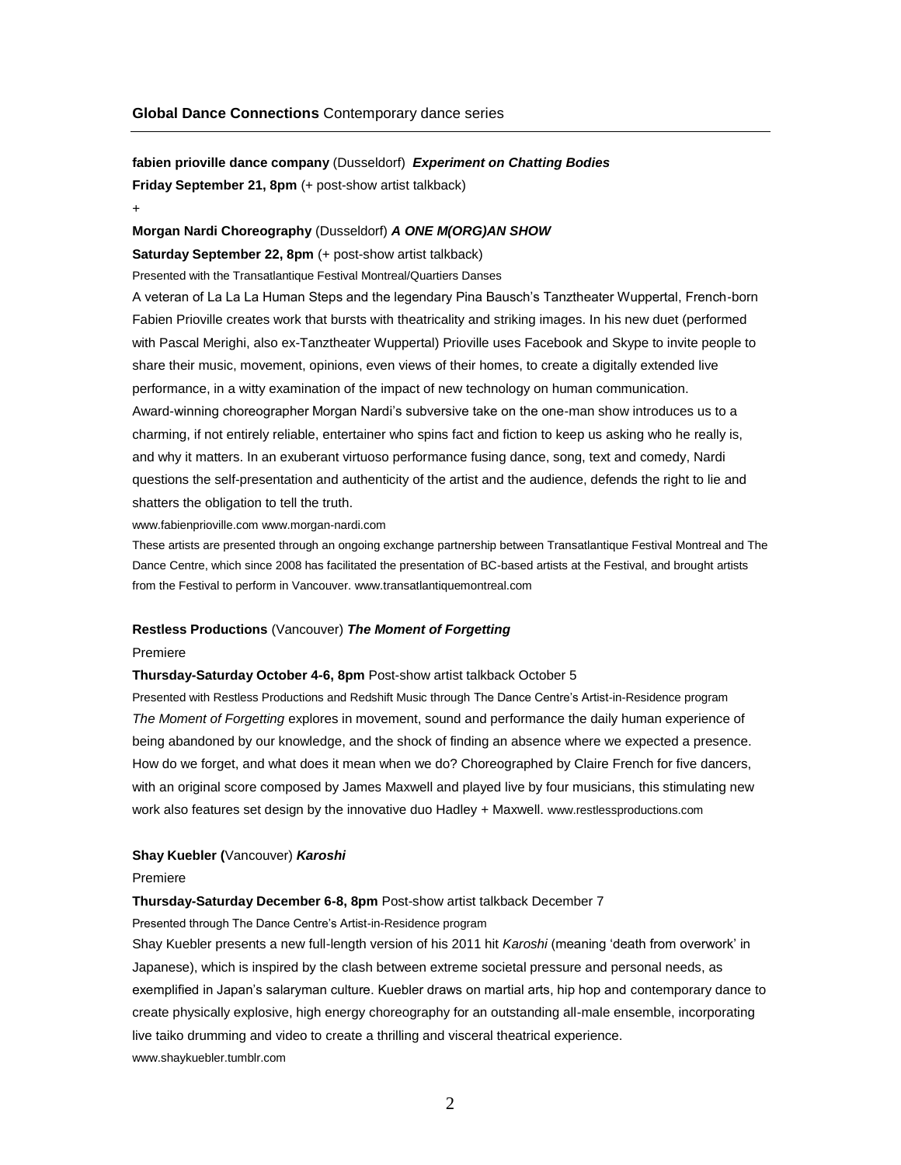**fabien prioville dance company** (Dusseldorf) *Experiment on Chatting Bodies* **Friday September 21, 8pm** (+ post-show artist talkback)

+

#### **Morgan Nardi Choreography** (Dusseldorf) *A ONE M(ORG)AN SHOW*

**Saturday September 22, 8pm** (+ post-show artist talkback)

Presented with the Transatlantique Festival Montreal/Quartiers Danses

A veteran of La La La Human Steps and the legendary Pina Bausch's Tanztheater Wuppertal, French-born Fabien Prioville creates work that bursts with theatricality and striking images. In his new duet (performed with Pascal Merighi, also ex-Tanztheater Wuppertal) Prioville uses Facebook and Skype to invite people to share their music, movement, opinions, even views of their homes, to create a digitally extended live performance, in a witty examination of the impact of new technology on human communication. Award-winning choreographer Morgan Nardi's subversive take on the one-man show introduces us to a charming, if not entirely reliable, entertainer who spins fact and fiction to keep us asking who he really is, and why it matters. In an exuberant virtuoso performance fusing dance, song, text and comedy, Nardi questions the self-presentation and authenticity of the artist and the audience, defends the right to lie and

shatters the obligation to tell the truth.

www.fabienprioville.com www.morgan-nardi.com

These artists are presented through an ongoing exchange partnership between Transatlantique Festival Montreal and The Dance Centre, which since 2008 has facilitated the presentation of BC-based artists at the Festival, and brought artists from the Festival to perform in Vancouver. www.transatlantiquemontreal.com

#### **Restless Productions** (Vancouver) *The Moment of Forgetting*

#### Premiere

#### **Thursday-Saturday October 4-6, 8pm** Post-show artist talkback October 5

Presented with Restless Productions and Redshift Music through The Dance Centre's Artist-in-Residence program *The Moment of Forgetting* explores in movement, sound and performance the daily human experience of being abandoned by our knowledge, and the shock of finding an absence where we expected a presence. How do we forget, and what does it mean when we do? Choreographed by Claire French for five dancers, with an original score composed by James Maxwell and played live by four musicians, this stimulating new work also features set design by the innovative duo Hadley + Maxwell. www.restlessproductions.com

### **Shay Kuebler (**Vancouver) *Karoshi*

#### Premiere

## **Thursday-Saturday December 6-8, 8pm** Post-show artist talkback December 7

Presented through The Dance Centre's Artist-in-Residence program

Shay Kuebler presents a new full-length version of his 2011 hit *Karoshi* (meaning 'death from overwork' in Japanese), which is inspired by the clash between extreme societal pressure and personal needs, as exemplified in Japan's salaryman culture. Kuebler draws on martial arts, hip hop and contemporary dance to create physically explosive, high energy choreography for an outstanding all-male ensemble, incorporating live taiko drumming and video to create a thrilling and visceral theatrical experience. www.shaykuebler.tumblr.com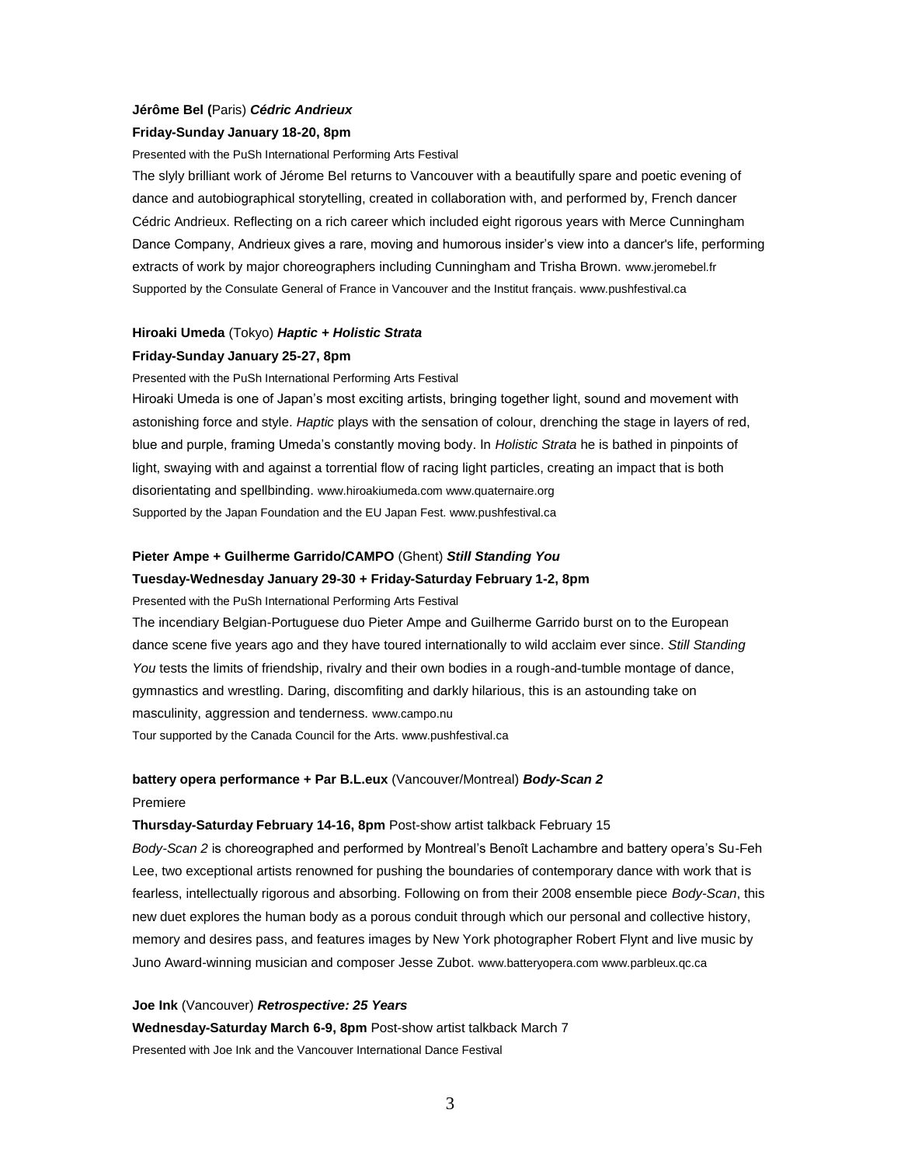## **Jérôme Bel (**Paris) *Cédric Andrieux* **Friday-Sunday January 18-20, 8pm**

Presented with the PuSh International Performing Arts Festival

The slyly brilliant work of Jérome Bel returns to Vancouver with a beautifully spare and poetic evening of dance and autobiographical storytelling, created in collaboration with, and performed by, French dancer Cédric Andrieux. Reflecting on a rich career which included eight rigorous years with Merce Cunningham Dance Company, Andrieux gives a rare, moving and humorous insider's view into a dancer's life, performing extracts of work by major choreographers including Cunningham and Trisha Brown. www.jeromebel.fr Supported by the Consulate General of France in Vancouver and the Institut français. www.pushfestival.ca

# **Hiroaki Umeda** (Tokyo) *Haptic + Holistic Strata* **Friday-Sunday January 25-27, 8pm**

Presented with the PuSh International Performing Arts Festival

Hiroaki Umeda is one of Japan's most exciting artists, bringing together light, sound and movement with astonishing force and style. *Haptic* plays with the sensation of colour, drenching the stage in layers of red, blue and purple, framing Umeda's constantly moving body. In *Holistic Strata* he is bathed in pinpoints of light, swaying with and against a torrential flow of racing light particles, creating an impact that is both disorientating and spellbinding. www.hiroakiumeda.com www.quaternaire.org Supported by the Japan Foundation and the EU Japan Fest. www.pushfestival.ca

## **Pieter Ampe + Guilherme Garrido/CAMPO** (Ghent) *Still Standing You*

**Tuesday-Wednesday January 29-30 + Friday-Saturday February 1-2, 8pm**

Presented with the PuSh International Performing Arts Festival

The incendiary Belgian-Portuguese duo Pieter Ampe and Guilherme Garrido burst on to the European dance scene five years ago and they have toured internationally to wild acclaim ever since. *Still Standing You* tests the limits of friendship, rivalry and their own bodies in a rough-and-tumble montage of dance, gymnastics and wrestling. Daring, discomfiting and darkly hilarious, this is an astounding take on masculinity, aggression and tenderness. www.campo.nu Tour supported by the Canada Council for the Arts. www.pushfestival.ca

#### **battery opera performance + Par B.L.eux** (Vancouver/Montreal) *Body-Scan 2*

#### Premiere

**Thursday-Saturday February 14-16, 8pm** Post-show artist talkback February 15

*Body-Scan 2* is choreographed and performed by Montreal's Benoît Lachambre and battery opera's Su-Feh Lee, two exceptional artists renowned for pushing the boundaries of contemporary dance with work that is fearless, intellectually rigorous and absorbing. Following on from their 2008 ensemble piece *Body-Scan*, this new duet explores the human body as a porous conduit through which our personal and collective history, memory and desires pass, and features images by New York photographer Robert Flynt and live music by Juno Award-winning musician and composer Jesse Zubot. www.batteryopera.com www.parbleux.qc.ca

**Joe Ink** (Vancouver) *Retrospective: 25 Years* **Wednesday-Saturday March 6-9, 8pm** Post-show artist talkback March 7 Presented with Joe Ink and the Vancouver International Dance Festival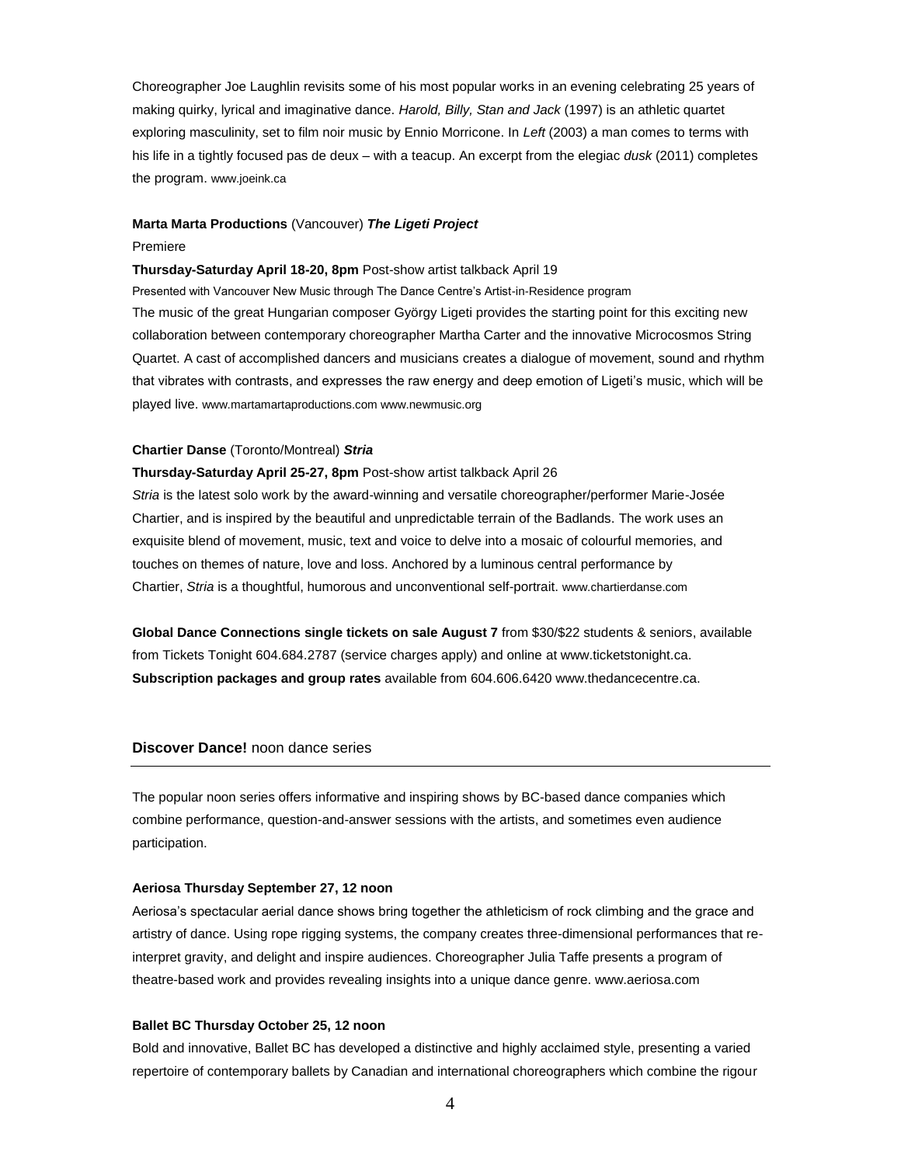Choreographer Joe Laughlin revisits some of his most popular works in an evening celebrating 25 years of making quirky, lyrical and imaginative dance. *Harold, Billy, Stan and Jack* (1997) is an athletic quartet exploring masculinity, set to film noir music by Ennio Morricone. In *Left* (2003) a man comes to terms with his life in a tightly focused pas de deux – with a teacup. An excerpt from the elegiac *dusk* (2011) completes the program. www.joeink.ca

#### **Marta Marta Productions** (Vancouver) *The Ligeti Project*

#### Premiere

#### **Thursday-Saturday April 18-20, 8pm** Post-show artist talkback April 19

Presented with Vancouver New Music through The Dance Centre's Artist-in-Residence program The music of the great Hungarian composer György Ligeti provides the starting point for this exciting new collaboration between contemporary choreographer Martha Carter and the innovative Microcosmos String Quartet. A cast of accomplished dancers and musicians creates a dialogue of movement, sound and rhythm that vibrates with contrasts, and expresses the raw energy and deep emotion of Ligeti's music, which will be played live. www.martamartaproductions.com www.newmusic.org

#### **Chartier Danse** (Toronto/Montreal) *Stria*

# **Thursday-Saturday April 25-27, 8pm** Post-show artist talkback April 26 *Stria* is the latest solo work by the award-winning and versatile choreographer/performer Marie-Josée Chartier, and is inspired by the beautiful and unpredictable terrain of the Badlands. The work uses an exquisite blend of movement, music, text and voice to delve into a mosaic of colourful memories, and touches on themes of nature, love and loss. Anchored by a luminous central performance by Chartier, *Stria* is a thoughtful, humorous and unconventional self-portrait. www.chartierdanse.com

**Global Dance Connections single tickets on sale August 7** from \$30/\$22 students & seniors, available from Tickets Tonight 604.684.2787 (service charges apply) and online at www.ticketstonight.ca. **Subscription packages and group rates** available from 604.606.6420 www.thedancecentre.ca.

## **Discover Dance!** noon dance series

The popular noon series offers informative and inspiring shows by BC-based dance companies which combine performance, question-and-answer sessions with the artists, and sometimes even audience participation.

### **Aeriosa Thursday September 27, 12 noon**

Aeriosa's spectacular aerial dance shows bring together the athleticism of rock climbing and the grace and artistry of dance. Using rope rigging systems, the company creates three-dimensional performances that reinterpret gravity, and delight and inspire audiences. Choreographer Julia Taffe presents a program of theatre-based work and provides revealing insights into a unique dance genre. www.aeriosa.com

## **Ballet BC Thursday October 25, 12 noon**

Bold and innovative, Ballet BC has developed a distinctive and highly acclaimed style, presenting a varied repertoire of contemporary ballets by Canadian and international choreographers which combine the rigour

4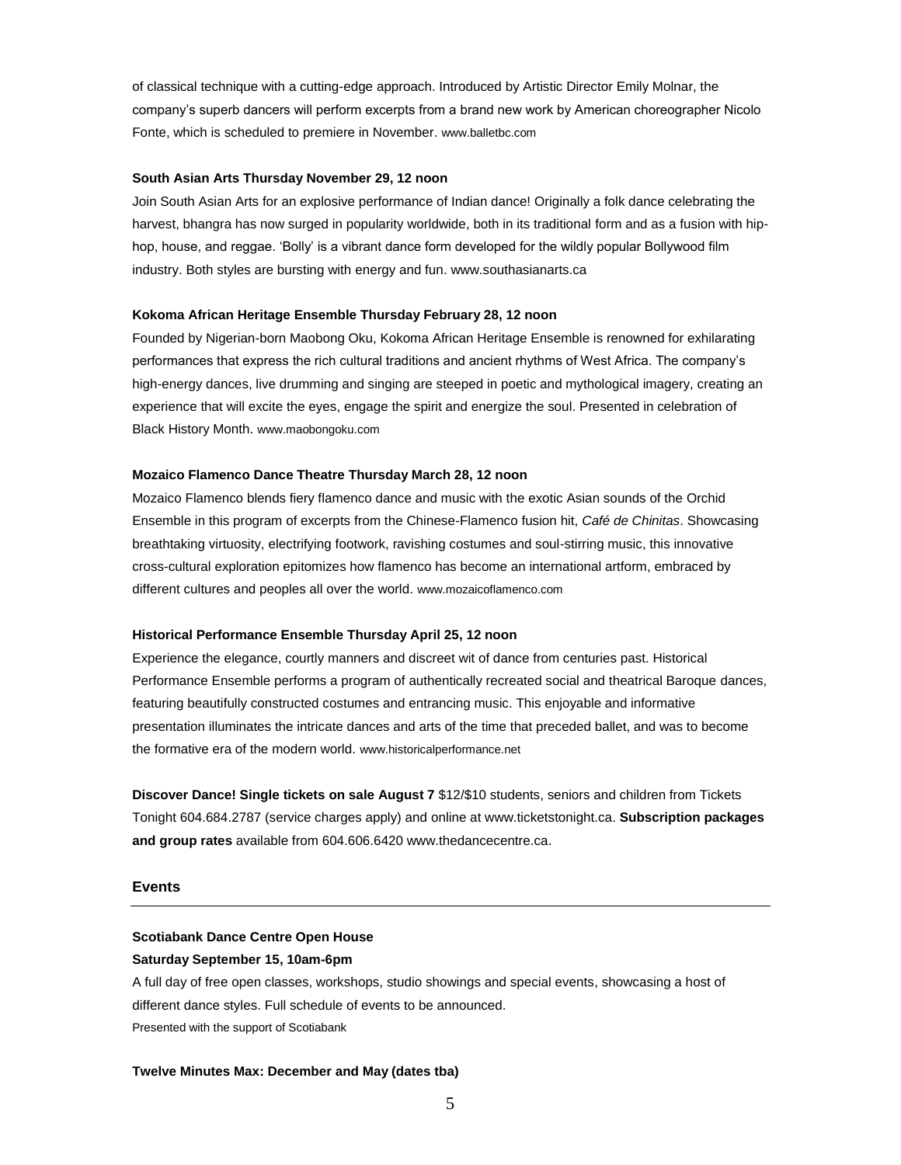of classical technique with a cutting-edge approach. Introduced by Artistic Director Emily Molnar, the company's superb dancers will perform excerpts from a brand new work by American choreographer Nicolo Fonte, which is scheduled to premiere in November. www.balletbc.com

## **South Asian Arts Thursday November 29, 12 noon**

Join South Asian Arts for an explosive performance of Indian dance! Originally a folk dance celebrating the harvest, bhangra has now surged in popularity worldwide, both in its traditional form and as a fusion with hiphop, house, and reggae. 'Bolly' is a vibrant dance form developed for the wildly popular Bollywood film industry. Both styles are bursting with energy and fun. www.southasianarts.ca

### **Kokoma African Heritage Ensemble Thursday February 28, 12 noon**

Founded by Nigerian-born Maobong Oku, Kokoma African Heritage Ensemble is renowned for exhilarating performances that express the rich cultural traditions and ancient rhythms of West Africa. The company's high-energy dances, live drumming and singing are steeped in poetic and mythological imagery, creating an experience that will excite the eyes, engage the spirit and energize the soul. Presented in celebration of Black History Month. www.maobongoku.com

#### **Mozaico Flamenco Dance Theatre Thursday March 28, 12 noon**

Mozaico Flamenco blends fiery flamenco dance and music with the exotic Asian sounds of the Orchid Ensemble in this program of excerpts from the Chinese-Flamenco fusion hit, *Café de Chinitas*. Showcasing breathtaking virtuosity, electrifying footwork, ravishing costumes and soul-stirring music, this innovative cross-cultural exploration epitomizes how flamenco has become an international artform, embraced by different cultures and peoples all over the world. www.mozaicoflamenco.com

### **Historical Performance Ensemble Thursday April 25, 12 noon**

Experience the elegance, courtly manners and discreet wit of dance from centuries past. Historical Performance Ensemble performs a program of authentically recreated social and theatrical Baroque dances, featuring beautifully constructed costumes and entrancing music. This enjoyable and informative presentation illuminates the intricate dances and arts of the time that preceded ballet, and was to become the formative era of the modern world. www.historicalperformance.net

**Discover Dance! Single tickets on sale August 7** \$12/\$10 students, seniors and children from Tickets Tonight 604.684.2787 (service charges apply) and online at www.ticketstonight.ca. **Subscription packages and group rates** available from 604.606.6420 www.thedancecentre.ca.

#### **Events**

## **Scotiabank Dance Centre Open House**

#### **Saturday September 15, 10am-6pm**

A full day of free open classes, workshops, studio showings and special events, showcasing a host of different dance styles. Full schedule of events to be announced. Presented with the support of Scotiabank

#### **Twelve Minutes Max: December and May (dates tba)**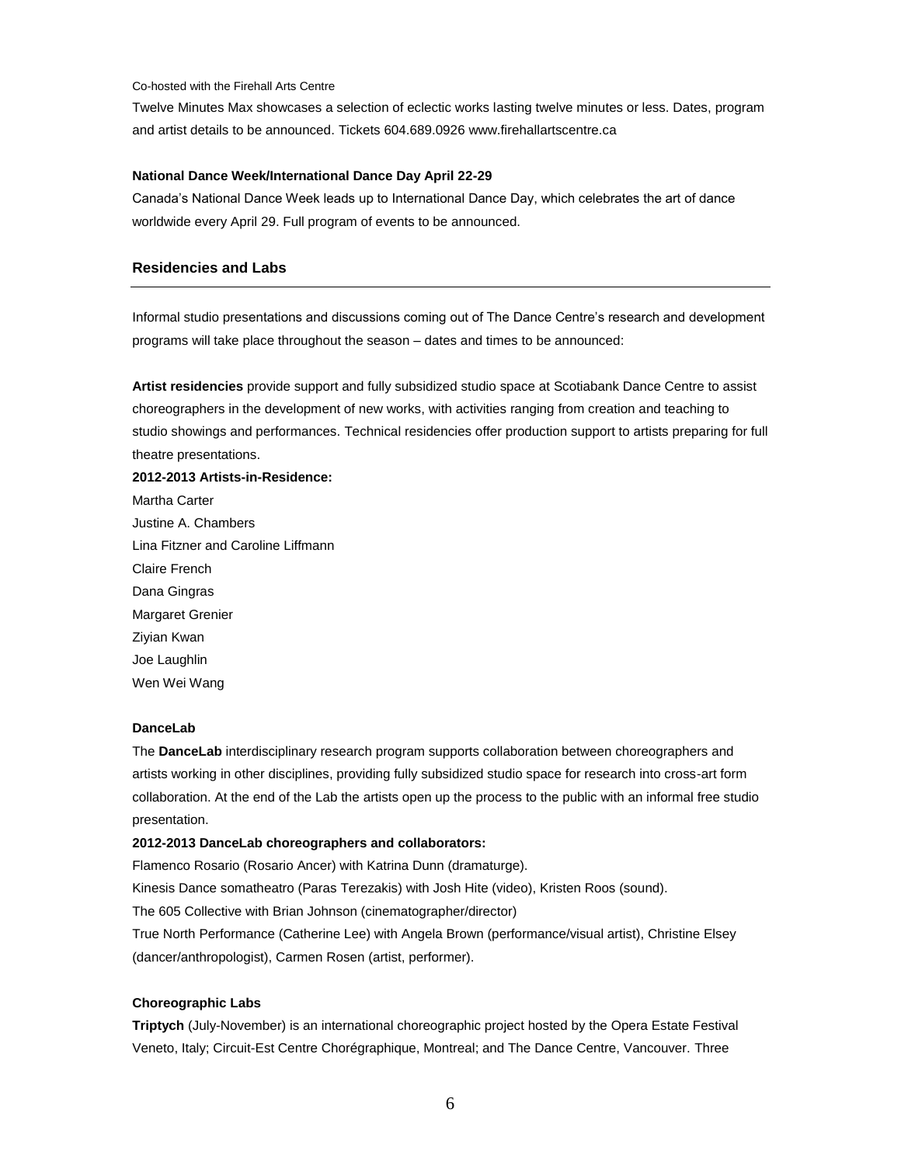#### Co-hosted with the Firehall Arts Centre

Twelve Minutes Max showcases a selection of eclectic works lasting twelve minutes or less. Dates, program and artist details to be announced. Tickets 604.689.0926 www.firehallartscentre.ca

#### **National Dance Week/International Dance Day April 22-29**

Canada's National Dance Week leads up to International Dance Day, which celebrates the art of dance worldwide every April 29. Full program of events to be announced.

## **Residencies and Labs**

Informal studio presentations and discussions coming out of The Dance Centre's research and development programs will take place throughout the season – dates and times to be announced:

**Artist residencies** provide support and fully subsidized studio space at Scotiabank Dance Centre to assist choreographers in the development of new works, with activities ranging from creation and teaching to studio showings and performances. Technical residencies offer production support to artists preparing for full theatre presentations.

**2012-2013 Artists-in-Residence:** Martha Carter Justine A. Chambers Lina Fitzner and Caroline Liffmann Claire French Dana Gingras Margaret Grenier Ziyian Kwan Joe Laughlin Wen Wei Wang

## **DanceLab**

The **DanceLab** interdisciplinary research program supports collaboration between choreographers and artists working in other disciplines, providing fully subsidized studio space for research into cross-art form collaboration. At the end of the Lab the artists open up the process to the public with an informal free studio presentation.

## **2012-2013 DanceLab choreographers and collaborators:**

Flamenco Rosario (Rosario Ancer) with Katrina Dunn (dramaturge).

Kinesis Dance somatheatro (Paras Terezakis) with Josh Hite (video), Kristen Roos (sound).

The 605 Collective with Brian Johnson (cinematographer/director)

True North Performance (Catherine Lee) with Angela Brown (performance/visual artist), Christine Elsey (dancer/anthropologist), Carmen Rosen (artist, performer).

### **Choreographic Labs**

**Triptych** (July-November) is an international choreographic project hosted by the Opera Estate Festival Veneto, Italy; Circuit-Est Centre Chorégraphique, Montreal; and The Dance Centre, Vancouver. Three